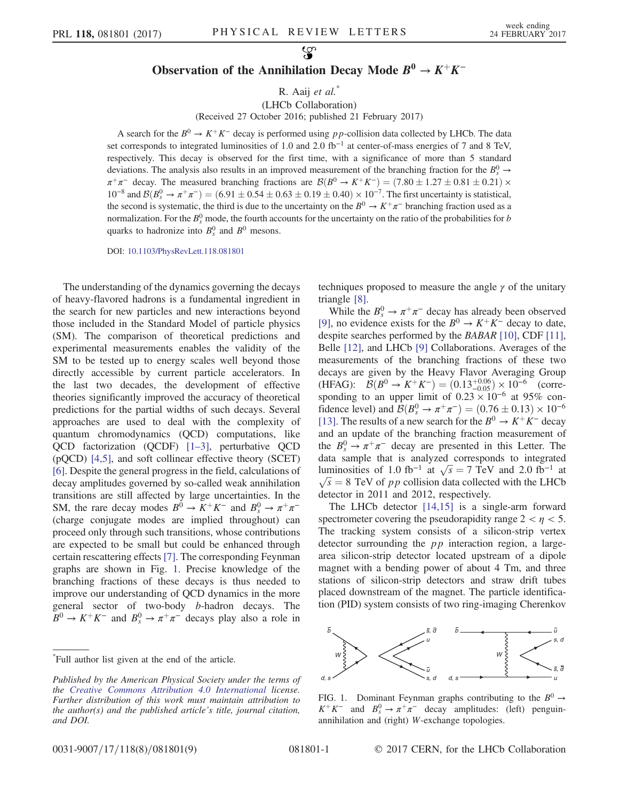## Observation of the Annihilation Decay Mode  $B^0 \to K^+K^-$

R. Aaij et al.<sup>\*</sup>

(LHCb Collaboration)

(Received 27 October 2016; published 21 February 2017)

A search for the  $B^0 \rightarrow K^+K^-$  decay is performed using pp-collision data collected by LHCb. The data set corresponds to integrated luminosities of 1.0 and 2.0 fb<sup>-1</sup> at center-of-mass energies of 7 and 8 TeV, respectively. This decay is observed for the first time, with a significance of more than 5 standard deviations. The analysis also results in an improved measurement of the branching fraction for the  $B_s^0 \rightarrow$  $\pi^+\pi^-$  decay. The measured branching fractions are  $\mathcal{B}(B^0 \to K^+K^-) = (7.80 \pm 1.27 \pm 0.81 \pm 0.21) \times$  $10^{-8}$  and  $\mathcal{B}(B_s^0 \to \pi^+\pi^-) = (6.91 \pm 0.54 \pm 0.63 \pm 0.19 \pm 0.40) \times 10^{-7}$ . The first uncertainty is statistical, the second is systematic, the third is due to the uncertainty on the  $B^0 \to K^+\pi^-$  branching fraction used as a normalization. For the  $B_s^0$  mode, the fourth accounts for the uncertainty on the ratio of the probabilities for b quarks to hadronize into  $B_s^0$  and  $B^0$  mesons.

DOI: [10.1103/PhysRevLett.118.081801](http://dx.doi.org/10.1103/PhysRevLett.118.081801)

The understanding of the dynamics governing the decays of heavy-flavored hadrons is a fundamental ingredient in the search for new particles and new interactions beyond those included in the Standard Model of particle physics (SM). The comparison of theoretical predictions and experimental measurements enables the validity of the SM to be tested up to energy scales well beyond those directly accessible by current particle accelerators. In the last two decades, the development of effective theories significantly improved the accuracy of theoretical predictions for the partial widths of such decays. Several approaches are used to deal with the complexity of quantum chromodynamics (QCD) computations, like QCD factorization (QCDF) [1–[3\],](#page-4-0) perturbative QCD (pQCD) [\[4,5\],](#page-4-1) and soft collinear effective theory (SCET) [\[6\]](#page-4-2). Despite the general progress in the field, calculations of decay amplitudes governed by so-called weak annihilation transitions are still affected by large uncertainties. In the SM, the rare decay modes  $B^0 \to K^+K^-$  and  $B_s^0 \to \pi^+\pi^-$ (charge conjugate modes are implied throughout) can proceed only through such transitions, whose contributions are expected to be small but could be enhanced through certain rescattering effects [\[7\].](#page-4-3) The corresponding Feynman graphs are shown in Fig. [1](#page-0-0). Precise knowledge of the branching fractions of these decays is thus needed to improve our understanding of QCD dynamics in the more general sector of two-body b-hadron decays. The  $\overline{B}^0 \to K^+K^-$  and  $B_s^0 \to \pi^+\pi^-$  decays play also a role in

techniques proposed to measure the angle  $\gamma$  of the unitary triangle [\[8\]](#page-4-4).

While the  $B_s^0 \to \pi^+\pi^-$  decay has already been observed [\[9\]](#page-4-5), no evidence exists for the  $B^0 \to K^+K^-$  decay to date, despite searches performed by the BABAR [\[10\],](#page-4-6) CDF [\[11\]](#page-4-7), Belle [\[12\]](#page-4-8), and LHCb [\[9\]](#page-4-5) Collaborations. Averages of the measurements of the branching fractions of these two decays are given by the Heavy Flavor Averaging Group (HFAG):  $\mathcal{B}(B^0 \to K^+K^-) = (0.13^{+0.06}_{-0.05}) \times 10^{-6}$  (corresponding to an upper limit of  $0.23 \times 10^{-6}$  at 95% confidence level) and  $B(B_s^0 \to \pi^+ \pi^-) = (0.76 \pm 0.13) \times 10^{-6}$ [\[13\]](#page-4-9). The results of a new search for the  $B^0 \to K^+K^-$  decay and an update of the branching fraction measurement of the  $B_s^0 \rightarrow \pi^+\pi^-$  decay are presented in this Letter. The data sample that is analyzed corresponds to integrated luminosities of 1.0 fb<sup>-1</sup> at  $\sqrt{s} = 7$  TeV and 2.0 fb<sup>-1</sup> at  $\sqrt{s} = 8$  TeV of *p p* collision data collected with the LHCb  $\sqrt{s}$  = 8 TeV of pp collision data collected with the LHCb detector in 2011 and 2012, respectively.

The LHCb detector [\[14,15\]](#page-4-10) is a single-arm forward spectrometer covering the pseudorapidity range  $2 < \eta < 5$ . The tracking system consists of a silicon-strip vertex detector surrounding the *pp* interaction region, a largearea silicon-strip detector located upstream of a dipole magnet with a bending power of about 4 Tm, and three stations of silicon-strip detectors and straw drift tubes placed downstream of the magnet. The particle identification (PID) system consists of two ring-imaging Cherenkov

<span id="page-0-0"></span>

FIG. 1. Dominant Feynman graphs contributing to the  $B^0 \rightarrow$  $K^+K^-$  and  $B_s^0 \to \pi^+\pi^-$  decay amplitudes: (left) penguinannihilation and (right) W-exchange topologies.

<sup>\*</sup> Full author list given at the end of the article.

Published by the American Physical Society under the terms of the [Creative Commons Attribution 4.0 International](https://creativecommons.org/licenses/by/4.0/) license. Further distribution of this work must maintain attribution to the author(s) and the published article's title, journal citation, and DOI.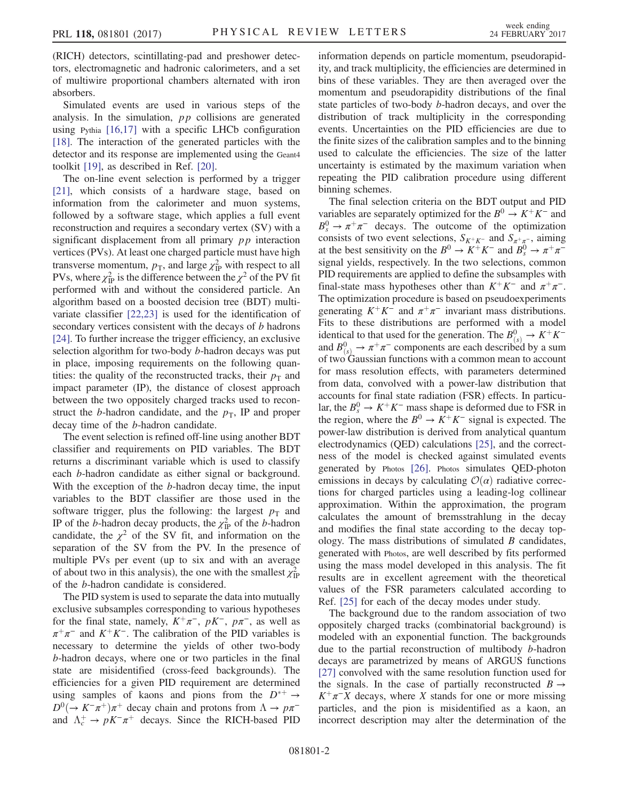(RICH) detectors, scintillating-pad and preshower detectors, electromagnetic and hadronic calorimeters, and a set of multiwire proportional chambers alternated with iron absorbers.

Simulated events are used in various steps of the analysis. In the simulation, pp collisions are generated using Pythia  $[16,17]$  with a specific LHCb configuration [\[18\]](#page-4-12). The interaction of the generated particles with the detector and its response are implemented using the Geant4 toolkit [\[19\]](#page-4-13), as described in Ref. [\[20\]](#page-4-14).

The on-line event selection is performed by a trigger [\[21\]](#page-4-15), which consists of a hardware stage, based on information from the calorimeter and muon systems, followed by a software stage, which applies a full event reconstruction and requires a secondary vertex (SV) with a significant displacement from all primary  $pp$  interaction vertices (PVs). At least one charged particle must have high transverse momentum,  $p_T$ , and large  $\chi^2_{\text{IP}}$  with respect to all PVs, where  $\chi_{\rm IP}^2$  is the difference between the  $\chi^2$  of the PV fit performed with and without the considered particle. An algorithm based on a boosted decision tree (BDT) multivariate classifier [\[22,23\]](#page-4-16) is used for the identification of secondary vertices consistent with the decays of b hadrons [\[24\]](#page-4-17). To further increase the trigger efficiency, an exclusive selection algorithm for two-body b-hadron decays was put in place, imposing requirements on the following quantities: the quality of the reconstructed tracks, their  $p<sub>T</sub>$  and impact parameter (IP), the distance of closest approach between the two oppositely charged tracks used to reconstruct the b-hadron candidate, and the  $p<sub>T</sub>$ , IP and proper decay time of the b-hadron candidate.

The event selection is refined off-line using another BDT classifier and requirements on PID variables. The BDT returns a discriminant variable which is used to classify each b-hadron candidate as either signal or background. With the exception of the *b*-hadron decay time, the input variables to the BDT classifier are those used in the software trigger, plus the following: the largest  $p<sub>T</sub>$  and IP of the *b*-hadron decay products, the  $\chi^2_{\text{IP}}$  of the *b*-hadron candidate, the  $\chi^2$  of the SV fit, and information on the separation of the SV from the PV. In the presence of multiple PVs per event (up to six and with an average of about two in this analysis), the one with the smallest  $\chi^2_{\text{IP}}$ of the b-hadron candidate is considered.

The PID system is used to separate the data into mutually exclusive subsamples corresponding to various hypotheses for the final state, namely,  $K^+\pi^-$ ,  $pK^-$ ,  $p\pi^-$ , as well as  $\pi^+\pi^-$  and  $K^+K^-$ . The calibration of the PID variables is necessary to determine the yields of other two-body b-hadron decays, where one or two particles in the final state are misidentified (cross-feed backgrounds). The efficiencies for a given PID requirement are determined using samples of kaons and pions from the  $D^{*+} \rightarrow$  $D^{0}(\rightarrow K^{-}\pi^{+})\pi^{+}$  decay chain and protons from  $\Lambda \rightarrow p\pi^{-}$ and  $\Lambda_c^+ \to pK^-\pi^+$  decays. Since the RICH-based PID information depends on particle momentum, pseudorapidity, and track multiplicity, the efficiencies are determined in bins of these variables. They are then averaged over the momentum and pseudorapidity distributions of the final state particles of two-body b-hadron decays, and over the distribution of track multiplicity in the corresponding events. Uncertainties on the PID efficiencies are due to the finite sizes of the calibration samples and to the binning used to calculate the efficiencies. The size of the latter uncertainty is estimated by the maximum variation when repeating the PID calibration procedure using different binning schemes.

The final selection criteria on the BDT output and PID variables are separately optimized for the  $B^0 \to K^+K^-$  and  $B_s^0 \to \pi^+\pi^-$  decays. The outcome of the optimization consists of two event selections,  $S_{K^+K^-}$  and  $S_{\pi^+\pi^-}$ , aiming at the best sensitivity on the  $B^0 \to K^+K^-$  and  $B^0_s \to \pi^+\pi^$ signal yields, respectively. In the two selections, common PID requirements are applied to define the subsamples with final-state mass hypotheses other than  $K^+K^-$  and  $\pi^+\pi^-$ . The optimization procedure is based on pseudoexperiments generating  $K^+K^-$  and  $\pi^+\pi^-$  invariant mass distributions. Fits to these distributions are performed with a model identical to that used for the generation. The  $B_{(s)}^0 \rightarrow K^+ K^$ and  $B_{(s)}^0 \to \pi^+\pi^-$  components are each described by a sum of two Gaussian functions with a common mean to account for mass resolution effects, with parameters determined from data, convolved with a power-law distribution that accounts for final state radiation (FSR) effects. In particular, the  $B_s^0 \to K^+K^-$  mass shape is deformed due to FSR in the region, where the  $B^0 \to K^+K^-$  signal is expected. The power-law distribution is derived from analytical quantum electrodynamics (QED) calculations [\[25\],](#page-4-18) and the correctness of the model is checked against simulated events generated by Photos [\[26\].](#page-4-19) Photos simulates QED-photon emissions in decays by calculating  $\mathcal{O}(\alpha)$  radiative corrections for charged particles using a leading-log collinear approximation. Within the approximation, the program calculates the amount of bremsstrahlung in the decay and modifies the final state according to the decay topology. The mass distributions of simulated  $B$  candidates, generated with Photos, are well described by fits performed using the mass model developed in this analysis. The fit results are in excellent agreement with the theoretical values of the FSR parameters calculated according to Ref. [\[25\]](#page-4-18) for each of the decay modes under study.

The background due to the random association of two oppositely charged tracks (combinatorial background) is modeled with an exponential function. The backgrounds due to the partial reconstruction of multibody b-hadron decays are parametrized by means of ARGUS functions [\[27\]](#page-4-20) convolved with the same resolution function used for the signals. In the case of partially reconstructed  $B \rightarrow$  $K^+\pi^-X$  decays, where X stands for one or more missing particles, and the pion is misidentified as a kaon, an incorrect description may alter the determination of the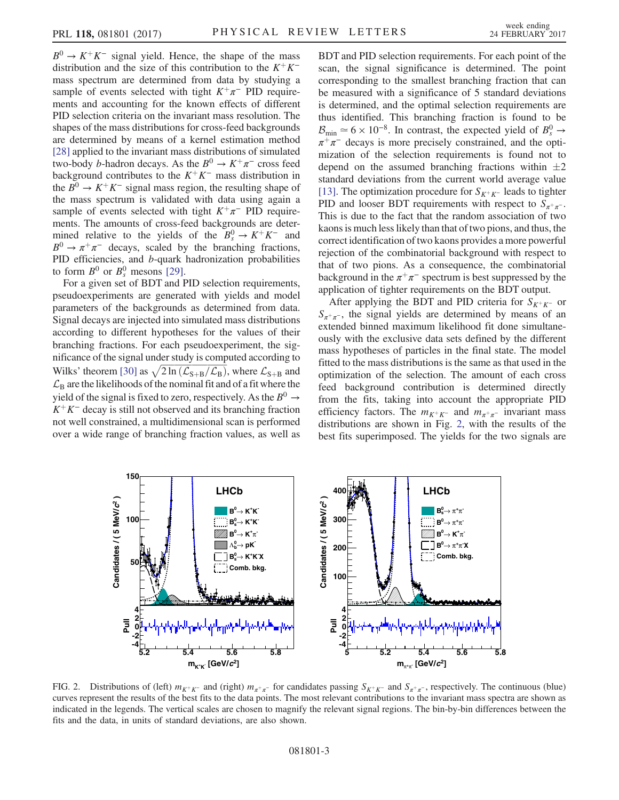$B^0 \to K^+K^-$  signal yield. Hence, the shape of the mass distribution and the size of this contribution to the  $K^+K^$ mass spectrum are determined from data by studying a sample of events selected with tight  $K^+\pi^-$  PID requirements and accounting for the known effects of different PID selection criteria on the invariant mass resolution. The shapes of the mass distributions for cross-feed backgrounds are determined by means of a kernel estimation method [\[28\]](#page-4-21) applied to the invariant mass distributions of simulated two-body *b*-hadron decays. As the  $B^0 \to K^+\pi^-$  cross feed background contributes to the  $K^+K^-$  mass distribution in the  $B^0 \rightarrow K^+K^-$  signal mass region, the resulting shape of the mass spectrum is validated with data using again a sample of events selected with tight  $K^+\pi^-$  PID requirements. The amounts of cross-feed backgrounds are determined relative to the yields of the  $B_s^0 \to K^+K^-$  and  $B^0 \to \pi^+\pi^-$  decays, scaled by the branching fractions, PID efficiencies, and b-quark hadronization probabilities to form  $B^0$  or  $B_s^0$  mesons [\[29\]](#page-4-22).

For a given set of BDT and PID selection requirements, pseudoexperiments are generated with yields and model parameters of the backgrounds as determined from data. Signal decays are injected into simulated mass distributions according to different hypotheses for the values of their branching fractions. For each pseudoexperiment, the significance of the signal under study is computed according to Wilks' theorem [\[30\]](#page-4-23) as  $\sqrt{2 \ln (\mathcal{L}_{S+B}/\mathcal{L}_B)}$ , where  $\mathcal{L}_{S+B}$  and  $\mathcal{L}_B$  are the likelihoods of the nominal fit and of a fit where the yield of the signal is fixed to zero, respectively. As the  $B^0 \rightarrow$  $K^+K^-$  decay is still not observed and its branching fraction not well constrained, a multidimensional scan is performed over a wide range of branching fraction values, as well as BDT and PID selection requirements. For each point of the scan, the signal significance is determined. The point corresponding to the smallest branching fraction that can be measured with a significance of 5 standard deviations is determined, and the optimal selection requirements are thus identified. This branching fraction is found to be  $\mathcal{B}_{\text{min}} \simeq 6 \times 10^{-8}$ . In contrast, the expected yield of  $B_s^0 \rightarrow$  $\pi^+\pi^-$  decays is more precisely constrained, and the optimization of the selection requirements is found not to depend on the assumed branching fractions within  $\pm 2$ standard deviations from the current world average value [\[13\]](#page-4-9). The optimization procedure for  $S_{K^+K^-}$  leads to tighter PID and looser BDT requirements with respect to  $S_{\pi^+\pi^-}$ . This is due to the fact that the random association of two kaons is much less likely than that of two pions, and thus, the correct identification of two kaons provides a more powerful rejection of the combinatorial background with respect to that of two pions. As a consequence, the combinatorial background in the  $\pi^+\pi^-$  spectrum is best suppressed by the application of tighter requirements on the BDT output.

After applying the BDT and PID criteria for  $S_{K^+K^-}$  or  $S_{\pi^+\pi^-}$ , the signal yields are determined by means of an extended binned maximum likelihood fit done simultaneously with the exclusive data sets defined by the different mass hypotheses of particles in the final state. The model fitted to the mass distributions is the same as that used in the optimization of the selection. The amount of each cross feed background contribution is determined directly from the fits, taking into account the appropriate PID efficiency factors. The  $m_{K^+K^-}$  and  $m_{\pi^+\pi^-}$  invariant mass distributions are shown in Fig. [2](#page-2-0), with the results of the best fits superimposed. The yields for the two signals are

<span id="page-2-0"></span>

FIG. 2. Distributions of (left)  $m_{K^+K^-}$  and (right)  $m_{\pi^+\pi^-}$  for candidates passing  $S_{K^+K^-}$  and  $S_{\pi^+\pi^-}$ , respectively. The continuous (blue) curves represent the results of the best fits to the data points. The most relevant contributions to the invariant mass spectra are shown as indicated in the legends. The vertical scales are chosen to magnify the relevant signal regions. The bin-by-bin differences between the fits and the data, in units of standard deviations, are also shown.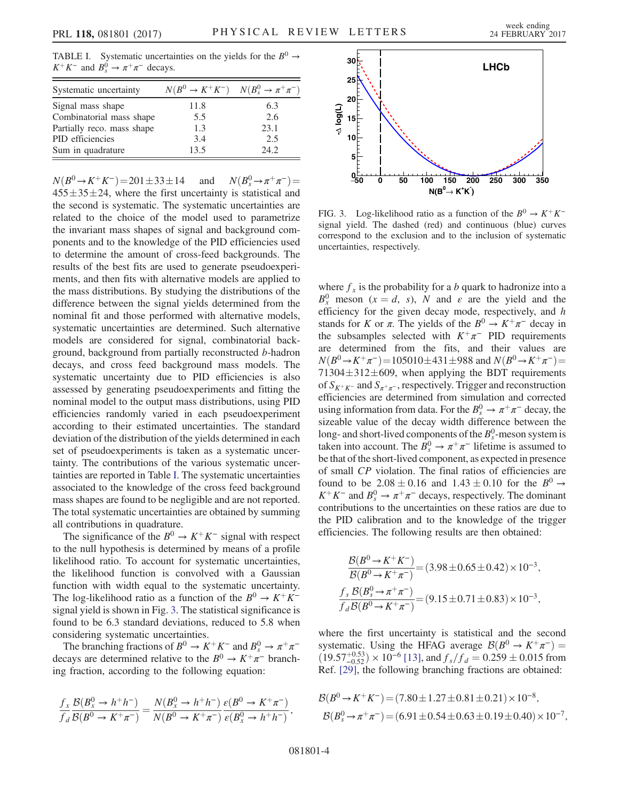<span id="page-3-0"></span>TABLE I. Systematic uncertainties on the yields for the  $B^0 \rightarrow$  $K^+K^-$  and  $B_s^0 \to \pi^+\pi^-$  decays.

| Systematic uncertainty     | $N(B^0 \to K^+K^-)$ $N(B_s^0 \to \pi^+\pi^-)$ |      |
|----------------------------|-----------------------------------------------|------|
| Signal mass shape          | 11.8                                          | 6.3  |
| Combinatorial mass shape   | 5.5                                           | 2.6  |
| Partially reco. mass shape | 1.3                                           | 23.1 |
| PID efficiencies           | 3.4                                           | 2.5  |
| Sum in quadrature          | 13.5                                          | 24.2 |

 $N(B^0 \to K^+K^-) = 201 \pm 33 \pm 100$ 14 and  $N(B_s^0 \rightarrow \pi^+\pi^-) =$  $455 \pm 35 \pm 24$ , where the first uncertainty is statistical and the second is systematic. The systematic uncertainties are related to the choice of the model used to parametrize the invariant mass shapes of signal and background components and to the knowledge of the PID efficiencies used to determine the amount of cross-feed backgrounds. The results of the best fits are used to generate pseudoexperiments, and then fits with alternative models are applied to the mass distributions. By studying the distributions of the difference between the signal yields determined from the nominal fit and those performed with alternative models, systematic uncertainties are determined. Such alternative models are considered for signal, combinatorial background, background from partially reconstructed b-hadron decays, and cross feed background mass models. The systematic uncertainty due to PID efficiencies is also assessed by generating pseudoexperiments and fitting the nominal model to the output mass distributions, using PID efficiencies randomly varied in each pseudoexperiment according to their estimated uncertainties. The standard deviation of the distribution of the yields determined in each set of pseudoexperiments is taken as a systematic uncertainty. The contributions of the various systematic uncertainties are reported in Table [I.](#page-3-0) The systematic uncertainties associated to the knowledge of the cross feed background mass shapes are found to be negligible and are not reported. The total systematic uncertainties are obtained by summing all contributions in quadrature.

The significance of the  $B^0 \to K^+K^-$  signal with respect to the null hypothesis is determined by means of a profile likelihood ratio. To account for systematic uncertainties, the likelihood function is convolved with a Gaussian function with width equal to the systematic uncertainty. The log-likelihood ratio as a function of the  $B^0 \to K^+K^$ signal yield is shown in Fig. [3](#page-3-1). The statistical significance is found to be 6.3 standard deviations, reduced to 5.8 when considering systematic uncertainties.

The branching fractions of  $B^0 \to K^+K^-$  and  $B_s^0 \to \pi^+\pi^$ decays are determined relative to the  $B^0 \to K^+\pi^-$  branching fraction, according to the following equation:

$$
\frac{f_{\textit{\tiny $X$}}}{f_{\textit{\tiny $d$}}}\frac{\mathcal{B}(B_{\textit{\tiny $X$}}^0\to h^+h^-)}{\mathcal{B}(B^0\to K^+\pi^-)}=\frac{N(B_{\textit{\tiny $X$}}^0\to h^+h^-)}{N(B^0\to K^+\pi^-)}\frac{\varepsilon(B^0\to K^+\pi^-)}{\varepsilon(B_{\textit{\tiny $X$}}^0\to h^+h^-)}\,,
$$

<span id="page-3-1"></span>

FIG. 3. Log-likelihood ratio as a function of the  $B^0 \to K^+K^$ signal yield. The dashed (red) and continuous (blue) curves correspond to the exclusion and to the inclusion of systematic uncertainties, respectively.

where  $f_x$  is the probability for a b quark to hadronize into a  $B_x^0$  meson  $(x = d, s)$ , N and  $\varepsilon$  are the yield and the efficiency for the given decay mode, respectively, and  $h$ stands for K or  $\pi$ . The yields of the  $B^0 \to K^+\pi^-$  decay in the subsamples selected with  $K^+\pi^-$  PID requirements are determined from the fits, and their values are  $N(B^0 \to K^+\pi^-) = 105010 \pm 431 \pm 988$  and  $N(B^0 \to K^+\pi^-) =$  $71304 \pm 312 \pm 609$ , when applying the BDT requirements of  $S_{K^+K^-}$  and  $S_{\pi^+\pi^-}$ , respectively. Trigger and reconstruction efficiencies are determined from simulation and corrected using information from data. For the  $B_s^0 \to \pi^+\pi^-$  decay, the sizeable value of the decay width difference between the long- and short-lived components of the  $B_s^0$ -meson system is taken into account. The  $\overline{B_s^0} \to \pi^+ \pi^-$  lifetime is assumed to be that of the short-lived component, as expected in presence of small CP violation. The final ratios of efficiencies are found to be  $2.08 \pm 0.16$  and  $1.43 \pm 0.10$  for the  $B^0 \to$  $K^+K^-$  and  $B_s^0 \to \pi^+\pi^-$  decays, respectively. The dominant contributions to the uncertainties on these ratios are due to the PID calibration and to the knowledge of the trigger efficiencies. The following results are then obtained:

$$
\frac{\mathcal{B}(B^0 \to K^+ K^-)}{\mathcal{B}(B^0 \to K^+ \pi^-)} = (3.98 \pm 0.65 \pm 0.42) \times 10^{-3},
$$
  

$$
\frac{f_s \mathcal{B}(B_s^0 \to \pi^+ \pi^-)}{f_d \mathcal{B}(B^0 \to K^+ \pi^-)} = (9.15 \pm 0.71 \pm 0.83) \times 10^{-3},
$$

where the first uncertainty is statistical and the second systematic. Using the HFAG average  $\mathcal{B}(B^0 \to K^+\pi^-) =$  $(19.57^{+0.53}_{-0.52}) \times 10^{-6}$  [\[13\],](#page-4-9) and  $f_s/f_d = 0.259 \pm 0.015$  from Ref. [\[29\],](#page-4-22) the following branching fractions are obtained:

$$
\mathcal{B}(B^0 \to K^+ K^-) = (7.80 \pm 1.27 \pm 0.81 \pm 0.21) \times 10^{-8},
$$
  

$$
\mathcal{B}(B_s^0 \to \pi^+ \pi^-) = (6.91 \pm 0.54 \pm 0.63 \pm 0.19 \pm 0.40) \times 10^{-7},
$$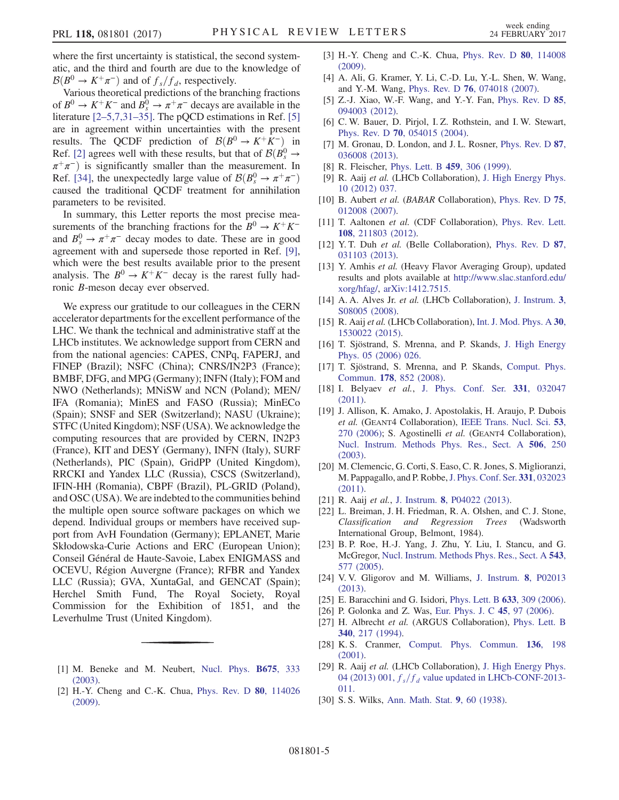where the first uncertainty is statistical, the second systematic, and the third and fourth are due to the knowledge of  $\mathcal{B}(B^0 \to K^+\pi^-)$  and of  $f_s/f_d$ , respectively.

Various theoretical predictions of the branching fractions of  $B^0 \to K^+K^-$  and  $\overline{B^0_s} \to \pi^+\pi^-$  decays are available in the literature [2–[5,7,31](#page-4-24)–35]. The pQCD estimations in Ref. [\[5\]](#page-4-25) are in agreement within uncertainties with the present results. The QCDF prediction of  $\mathcal{B}(B^0 \to K^+K^-)$  in Ref. [\[2\]](#page-4-24) agrees well with these results, but that of  $\mathcal{B}(B_s^0 \rightarrow$  $\pi^+\pi^-$ ) is significantly smaller than the measurement. In Ref. [\[34\]](#page-5-0), the unexpectedly large value of  $\mathcal{B}(B_s^0 \to \pi^+\pi^-)$ caused the traditional QCDF treatment for annihilation parameters to be revisited.

In summary, this Letter reports the most precise measurements of the branching fractions for the  $B^0 \to K^+K^$ and  $B_s^0 \to \pi^+\pi^-$  decay modes to date. These are in good agreement with and supersede those reported in Ref. [\[9\]](#page-4-5), which were the best results available prior to the present analysis. The  $B^0 \to K^+K^-$  decay is the rarest fully hadronic B-meson decay ever observed.

We express our gratitude to our colleagues in the CERN accelerator departments for the excellent performance of the LHC. We thank the technical and administrative staff at the LHCb institutes. We acknowledge support from CERN and from the national agencies: CAPES, CNPq, FAPERJ, and FINEP (Brazil); NSFC (China); CNRS/IN2P3 (France); BMBF, DFG, and MPG (Germany); INFN (Italy); FOM and NWO (Netherlands); MNiSW and NCN (Poland); MEN/ IFA (Romania); MinES and FASO (Russia); MinECo (Spain); SNSF and SER (Switzerland); NASU (Ukraine); STFC (United Kingdom); NSF (USA). We acknowledge the computing resources that are provided by CERN, IN2P3 (France), KIT and DESY (Germany), INFN (Italy), SURF (Netherlands), PIC (Spain), GridPP (United Kingdom), RRCKI and Yandex LLC (Russia), CSCS (Switzerland), IFIN-HH (Romania), CBPF (Brazil), PL-GRID (Poland), and OSC (USA).We are indebted to the communities behind the multiple open source software packages on which we depend. Individual groups or members have received support from AvH Foundation (Germany); EPLANET, Marie Skłodowska-Curie Actions and ERC (European Union); Conseil Général de Haute-Savoie, Labex ENIGMASS and OCEVU, Région Auvergne (France); RFBR and Yandex LLC (Russia); GVA, XuntaGal, and GENCAT (Spain); Herchel Smith Fund, The Royal Society, Royal Commission for the Exhibition of 1851, and the Leverhulme Trust (United Kingdom).

- <span id="page-4-24"></span><span id="page-4-0"></span>[1] M. Beneke and M. Neubert, [Nucl. Phys.](http://dx.doi.org/10.1016/j.nuclphysb.2003.09.026) B675, 333 [\(2003\).](http://dx.doi.org/10.1016/j.nuclphysb.2003.09.026)
- [2] H.-Y. Cheng and C.-K. Chua, [Phys. Rev. D](http://dx.doi.org/10.1103/PhysRevD.80.114026) 80, 114026 [\(2009\).](http://dx.doi.org/10.1103/PhysRevD.80.114026)
- [3] H.-Y. Cheng and C.-K. Chua, [Phys. Rev. D](http://dx.doi.org/10.1103/PhysRevD.80.114008) 80, 114008 [\(2009\).](http://dx.doi.org/10.1103/PhysRevD.80.114008)
- <span id="page-4-1"></span>[4] A. Ali, G. Kramer, Y. Li, C.-D. Lu, Y.-L. Shen, W. Wang, and Y.-M. Wang, Phys. Rev. D 76[, 074018 \(2007\)](http://dx.doi.org/10.1103/PhysRevD.76.074018).
- <span id="page-4-25"></span>[5] Z.-J. Xiao, W.-F. Wang, and Y.-Y. Fan, [Phys. Rev. D](http://dx.doi.org/10.1103/PhysRevD.85.094003) 85, [094003 \(2012\).](http://dx.doi.org/10.1103/PhysRevD.85.094003)
- <span id="page-4-2"></span>[6] C. W. Bauer, D. Pirjol, I. Z. Rothstein, and I. W. Stewart, Phys. Rev. D 70[, 054015 \(2004\)](http://dx.doi.org/10.1103/PhysRevD.70.054015).
- <span id="page-4-3"></span>[7] M. Gronau, D. London, and J. L. Rosner, [Phys. Rev. D](http://dx.doi.org/10.1103/PhysRevD.87.036008) 87, [036008 \(2013\).](http://dx.doi.org/10.1103/PhysRevD.87.036008)
- <span id="page-4-4"></span>[8] R. Fleischer, [Phys. Lett. B](http://dx.doi.org/10.1016/S0370-2693(99)00640-1) 459, 306 (1999).
- <span id="page-4-5"></span>[9] R. Aaij et al. (LHCb Collaboration), [J. High Energy Phys.](http://dx.doi.org/10.1007/JHEP10(2012)037) [10 \(2012\) 037.](http://dx.doi.org/10.1007/JHEP10(2012)037)
- <span id="page-4-6"></span>[10] B. Aubert et al. (BABAR Collaboration), [Phys. Rev. D](http://dx.doi.org/10.1103/PhysRevD.75.012008) 75, [012008 \(2007\).](http://dx.doi.org/10.1103/PhysRevD.75.012008)
- <span id="page-4-7"></span>[11] T. Aaltonen et al. (CDF Collaboration), [Phys. Rev. Lett.](http://dx.doi.org/10.1103/PhysRevLett.108.211803) 108[, 211803 \(2012\).](http://dx.doi.org/10.1103/PhysRevLett.108.211803)
- <span id="page-4-8"></span>[12] Y. T. Duh et al. (Belle Collaboration), [Phys. Rev. D](http://dx.doi.org/10.1103/PhysRevD.87.031103) 87, [031103 \(2013\).](http://dx.doi.org/10.1103/PhysRevD.87.031103)
- <span id="page-4-9"></span>[13] Y. Amhis et al. (Heavy Flavor Averaging Group), updated results and plots available at [http://www.slac.stanford.edu/](http://www.slac.stanford.edu/xorg/hfag/) [xorg/hfag/,](http://www.slac.stanford.edu/xorg/hfag/) [arXiv:1412.7515.](http://arXiv.org/abs/1412.7515)
- <span id="page-4-10"></span>[14] A. A. Alves Jr. et al. (LHCb Collaboration), [J. Instrum.](http://dx.doi.org/10.1088/1748-0221/3/08/S08005) 3, [S08005 \(2008\)](http://dx.doi.org/10.1088/1748-0221/3/08/S08005).
- [15] R. Aaij et al. (LHCb Collaboration), [Int. J. Mod. Phys. A](http://dx.doi.org/10.1142/S0217751X15300227) 30, [1530022 \(2015\).](http://dx.doi.org/10.1142/S0217751X15300227)
- <span id="page-4-11"></span>[16] T. Sjöstrand, S. Mrenna, and P. Skands, [J. High Energy](http://dx.doi.org/10.1088/1126-6708/2006/05/026) [Phys. 05 \(2006\) 026.](http://dx.doi.org/10.1088/1126-6708/2006/05/026)
- [17] T. Sjöstrand, S. Mrenna, and P. Skands, [Comput. Phys.](http://dx.doi.org/10.1016/j.cpc.2008.01.036) Commun. 178[, 852 \(2008\)](http://dx.doi.org/10.1016/j.cpc.2008.01.036).
- <span id="page-4-12"></span>[18] I. Belyaev et al., [J. Phys. Conf. Ser.](http://dx.doi.org/10.1088/1742-6596/331/3/032047) 331, 032047 [\(2011\).](http://dx.doi.org/10.1088/1742-6596/331/3/032047)
- <span id="page-4-13"></span>[19] J. Allison, K. Amako, J. Apostolakis, H. Araujo, P. Dubois et al. (GEANT4 Collaboration), [IEEE Trans. Nucl. Sci.](http://dx.doi.org/10.1109/TNS.2006.869826) 53, [270 \(2006\);](http://dx.doi.org/10.1109/TNS.2006.869826) S. Agostinelli et al. (GEANT4 Collaboration), [Nucl. Instrum. Methods Phys. Res., Sect. A](http://dx.doi.org/10.1016/S0168-9002(03)01368-8) 506, 250 [\(2003\).](http://dx.doi.org/10.1016/S0168-9002(03)01368-8)
- <span id="page-4-14"></span>[20] M. Clemencic, G. Corti, S. Easo, C. R. Jones, S. Miglioranzi, M. Pappagallo, and P. Robbe,[J. Phys. Conf. Ser.](http://dx.doi.org/10.1088/1742-6596/331/3/032023) 331, 032023 [\(2011\).](http://dx.doi.org/10.1088/1742-6596/331/3/032023)
- <span id="page-4-15"></span>[21] R. Aaij et al., J. Instrum. 8[, P04022 \(2013\).](http://dx.doi.org/10.1088/1748-0221/8/04/P04022)
- <span id="page-4-16"></span>[22] L. Breiman, J. H. Friedman, R. A. Olshen, and C. J. Stone, Classification and Regression Trees (Wadsworth International Group, Belmont, 1984).
- [23] B. P. Roe, H.-J. Yang, J. Zhu, Y. Liu, I. Stancu, and G. McGregor, [Nucl. Instrum. Methods Phys. Res., Sect. A](http://dx.doi.org/10.1016/j.nima.2004.12.018) 543, [577 \(2005\)](http://dx.doi.org/10.1016/j.nima.2004.12.018).
- <span id="page-4-17"></span>[24] V. V. Gligorov and M. Williams, [J. Instrum.](http://dx.doi.org/10.1088/1748-0221/8/02/P02013) 8, P02013 [\(2013\).](http://dx.doi.org/10.1088/1748-0221/8/02/P02013)
- <span id="page-4-18"></span>[25] E. Baracchini and G. Isidori, [Phys. Lett. B](http://dx.doi.org/10.1016/j.physletb.2005.11.072) 633, 309 (2006).
- <span id="page-4-19"></span>[26] P. Golonka and Z. Was, [Eur. Phys. J. C](http://dx.doi.org/10.1140/epjc/s2005-02396-4) 45, 97 (2006).
- <span id="page-4-20"></span>[27] H. Albrecht et al. (ARGUS Collaboration), [Phys. Lett. B](http://dx.doi.org/10.1016/0370-2693(94)01302-0) 340[, 217 \(1994\)](http://dx.doi.org/10.1016/0370-2693(94)01302-0).
- <span id="page-4-21"></span>[28] K. S. Cranmer, [Comput. Phys. Commun.](http://dx.doi.org/10.1016/S0010-4655(00)00243-5) 136, 198 [\(2001\).](http://dx.doi.org/10.1016/S0010-4655(00)00243-5)
- <span id="page-4-22"></span>[29] R. Aaij et al. (LHCb Collaboration), [J. High Energy Phys.](http://dx.doi.org/10.1007/JHEP04(2013)001) [04 \(2013\) 001,](http://dx.doi.org/10.1007/JHEP04(2013)001)  $f_s/f_d$  [value updated in LHCb-CONF-2013-](http://dx.doi.org/10.1007/JHEP04(2013)001) [011.](http://dx.doi.org/10.1007/JHEP04(2013)001)
- <span id="page-4-23"></span>[30] S. S. Wilks, [Ann. Math. Stat.](http://dx.doi.org/10.1214/aoms/1177732360) 9, 60 (1938).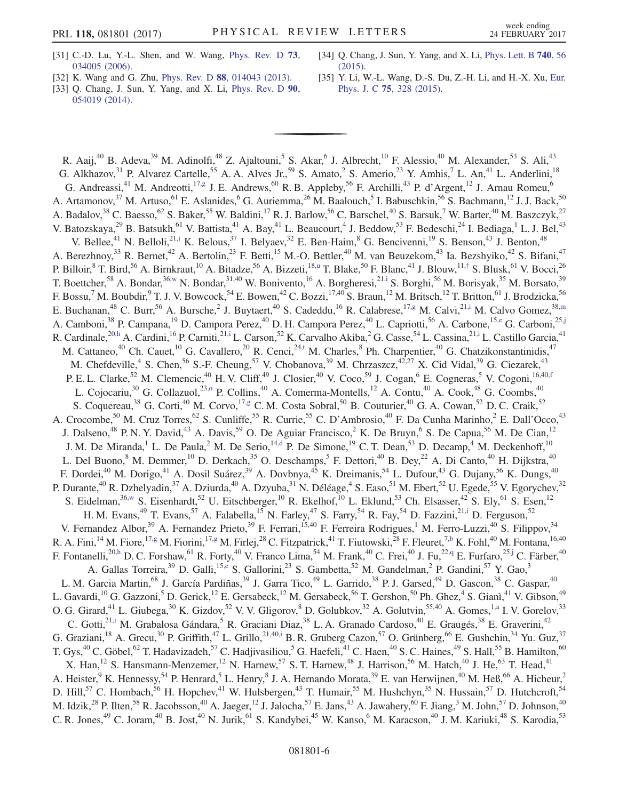- [31] C.-D. Lu, Y.-L. Shen, and W. Wang, [Phys. Rev. D](http://dx.doi.org/10.1103/PhysRevD.73.034005) 73, [034005 \(2006\).](http://dx.doi.org/10.1103/PhysRevD.73.034005)
- [32] K. Wang and G. Zhu, Phys. Rev. D 88[, 014043 \(2013\).](http://dx.doi.org/10.1103/PhysRevD.88.014043)
- [33] Q. Chang, J. Sun, Y. Yang, and X. Li, [Phys. Rev. D](http://dx.doi.org/10.1103/PhysRevD.90.054019) 90, [054019 \(2014\).](http://dx.doi.org/10.1103/PhysRevD.90.054019)
- <span id="page-5-0"></span>[34] Q. Chang, J. Sun, Y. Yang, and X. Li, [Phys. Lett. B](http://dx.doi.org/10.1016/j.physletb.2014.11.027) 740, 56 [\(2015\).](http://dx.doi.org/10.1016/j.physletb.2014.11.027)
- [35] Y. Li, W.-L. Wang, D.-S. Du, Z.-H. Li, and H.-X. Xu, [Eur.](http://dx.doi.org/10.1140/epjc/s10052-015-3552-0) Phys. J. C 75[, 328 \(2015\).](http://dx.doi.org/10.1140/epjc/s10052-015-3552-0)

<span id="page-5-12"></span><span id="page-5-11"></span><span id="page-5-10"></span><span id="page-5-9"></span><span id="page-5-8"></span><span id="page-5-7"></span><span id="page-5-6"></span><span id="page-5-5"></span><span id="page-5-4"></span><span id="page-5-3"></span><span id="page-5-2"></span><span id="page-5-1"></span>R. Aaij,<sup>40</sup> B. Adeva,<sup>39</sup> M. Adinolfi,<sup>48</sup> Z. Ajaltouni,<sup>5</sup> S. Akar,<sup>6</sup> J. Albrecht,<sup>10</sup> F. Alessio,<sup>40</sup> M. Alexander,<sup>53</sup> S. Ali,<sup>43</sup> G. Alkhazov,<sup>31</sup> P. Alvarez Cartelle,<sup>55</sup> A. A. Alves Jr.,<sup>59</sup> S. Amato,<sup>2</sup> S. Amerio,<sup>23</sup> Y. Amhis,<sup>7</sup> L. An,<sup>41</sup> L. Anderlini,<sup>18</sup> G. Andreassi,<sup>41</sup> M. Andreotti,<sup>1[7,g](#page-8-0)</sup> J. E. Andrews,<sup>60</sup> R. B. Appleby,<sup>56</sup> F. Archilli,<sup>43</sup> P. d'Argent,<sup>12</sup> J. Arnau Romeu,<sup>6</sup> A. Artamonov,<sup>37</sup> M. Artuso,<sup>61</sup> E. Aslanides,<sup>6</sup> G. Auriemma,<sup>26</sup> M. Baalouch,<sup>5</sup> I. Babuschkin,<sup>56</sup> S. Bachmann,<sup>12</sup> J. J. Back,<sup>50</sup> A. Badalov,<sup>38</sup> C. Baesso,<sup>62</sup> S. Baker,<sup>55</sup> W. Baldini,<sup>17</sup> R. J. Barlow,<sup>56</sup> C. Barschel,<sup>40</sup> S. Barsuk,<sup>7</sup> W. Barter,<sup>40</sup> M. Baszczyk,<sup>27</sup> V. Batozskaya,  $^{29}$  B. Batsukh, <sup>61</sup> V. Battista, <sup>41</sup> A. Bay, <sup>41</sup> L. Beaucourt, <sup>4</sup> J. Beddow, <sup>53</sup> F. Bedeschi,  $^{24}$  I. Bediaga, <sup>1</sup> L. J. Bel, <sup>43</sup> V. Bellee,<sup>41</sup> N. Belloli,<sup>21[,i](#page-8-1)</sup> K. Belous,<sup>37</sup> I. Belyaev,<sup>32</sup> E. Ben-Haim,<sup>8</sup> G. Bencivenni,<sup>19</sup> S. Benson,<sup>43</sup> J. Benton,<sup>48</sup> A. Berezhnoy,<sup>33</sup> R. Bernet,<sup>42</sup> A. Bertolin,<sup>23</sup> F. Betti,<sup>15</sup> M.-O. Bettler,<sup>40</sup> M. van Beuzekom,<sup>43</sup> Ia. Bezshyiko,<sup>42</sup> S. Bifani,<sup>47</sup> P. Billoir,  ${}^{8}$  T. Bird,  ${}^{56}$  A. Birnkraut,  ${}^{10}$  A. Bitadze,  ${}^{56}$  A. Bizzeti,  ${}^{18,u}$  ${}^{18,u}$  ${}^{18,u}$  T. Blake,  ${}^{50}$  F. Blanc,  ${}^{41}$  J. Blouw,  ${}^{11,\dagger}$  S. Blusk,  ${}^{61}$  V. Bocci,  ${}^{26}$ T. Boettcher,<sup>58</sup> A. Bondar,<sup>3[6,w](#page-8-4)</sup> N. Bondar,<sup>31,40</sup> W. Bonivento,<sup>16</sup> A. Borgheresi,<sup>2[1,i](#page-8-1)</sup> S. Borghi,<sup>56</sup> M. Borisyak,<sup>35</sup> M. Borsato,<sup>39</sup> F. Bossu,<sup>7</sup> M. Boubdir,<sup>9</sup> T. J. V. Bowcock,<sup>54</sup> E. Bowen,<sup>42</sup> C. Bozzi,<sup>17,40</sup> S. Braun,<sup>12</sup> M. Britsch,<sup>12</sup> T. Britton,<sup>61</sup> J. Brodzicka,<sup>56</sup> E. Buchanan,<sup>48</sup> C. Burr,<sup>56</sup> A. Bursche,<sup>2</sup> J. Buytaert,<sup>40</sup> S. Cadeddu,<sup>16</sup> R. Calabrese,<sup>1[7,g](#page-8-0)</sup> M. Calvi,<sup>2[1,i](#page-8-1)</sup> M. Calvo Gomez,<sup>38[,m](#page-8-5)</sup> A. Camboni,<sup>38</sup> P. Campana,<sup>19</sup> D. Campora Perez,<sup>40</sup> D. H. Campora Perez,<sup>40</sup> L. Capriotti,<sup>56</sup> A. Carbone,<sup>15[,e](#page-8-6)</sup> G. Carboni,<sup>2[5,j](#page-8-7)</sup> R. Cardinale,<sup>20[,h](#page-8-8)</sup> A. Cardini,<sup>16</sup> P. Carniti,<sup>21[,i](#page-8-1)</sup> L. Carson,<sup>52</sup> K. Carvalho Akiba,<sup>2</sup> G. Casse,<sup>54</sup> L. Cassina,<sup>2[1,i](#page-8-1)</sup> L. Castillo Garcia,<sup>41</sup> M. Cattaneo,<sup>40</sup> Ch. Cauet,<sup>10</sup> G. Cavallero,<sup>20</sup> R. Cenci,<sup>24[,t](#page-8-9)</sup> M. Charles,<sup>8</sup> Ph. Charpentier,<sup>40</sup> G. Chatzikonstantinidis,<sup>47</sup> M. Chefdeville,<sup>4</sup> S. Chen,<sup>56</sup> S.-F. Cheung,<sup>57</sup> V. Chobanova,<sup>39</sup> M. Chrzaszcz,<sup>42,27</sup> X. Cid Vidal,<sup>39</sup> G. Ciezarek,<sup>43</sup> P. E. L. Clarke,<sup>52</sup> M. Clemencic,<sup>40</sup> H. V. Cliff,<sup>49</sup> J. Closier,<sup>40</sup> V. Coco,<sup>59</sup> J. Cogan,<sup>6</sup> E. Cogneras,<sup>5</sup> V. Cogoni,<sup>16,4[0,f](#page-8-10)</sup> L. Cojocariu,<sup>30</sup> G. Collazuol,<sup>23,0</sup> P. Collins,<sup>40</sup> A. Comerma-Montells,<sup>12</sup> A. Contu,<sup>40</sup> A. Cook,<sup>48</sup> G. Coombs,<sup>40</sup> S. Coquereau,<sup>38</sup> G. Corti,<sup>40</sup> M. Corvo,<sup>17[,g](#page-8-0)</sup> C. M. Costa Sobral,<sup>50</sup> B. Couturier,<sup>40</sup> G. A. Cowan,<sup>52</sup> D. C. Craik,<sup>52</sup> A. Crocombe,<sup>50</sup> M. Cruz Torres,<sup>62</sup> S. Cunliffe,<sup>55</sup> R. Currie,<sup>55</sup> C. D'Ambrosio,<sup>40</sup> F. Da Cunha Marinho,<sup>2</sup> E. Dall'Occo,<sup>43</sup> J. Dalseno,<sup>48</sup> P. N. Y. David,<sup>43</sup> A. Davis,<sup>59</sup> O. De Aguiar Francisco,<sup>2</sup> K. De Bruyn,<sup>6</sup> S. De Capua,<sup>56</sup> M. De Cian,<sup>12</sup> J. M. De Miranda,<sup>1</sup> L. De Paula,<sup>2</sup> M. De Serio,<sup>14[,d](#page-8-12)</sup> P. De Simone,<sup>19</sup> C. T. Dean,<sup>53</sup> D. Decamp,<sup>4</sup> M. Deckenhoff,<sup>10</sup> L. Del Buono,<sup>8</sup> M. Demmer,<sup>10</sup> D. Derkach,<sup>35</sup> O. Deschamps,<sup>5</sup> F. Dettori,<sup>40</sup> B. Dey,<sup>22</sup> A. Di Canto,<sup>40</sup> H. Dijkstra,<sup>40</sup> F. Dordei,<sup>40</sup> M. Dorigo,<sup>41</sup> A. Dosil Suárez,<sup>39</sup> A. Dovbnya,<sup>45</sup> K. Dreimanis,<sup>54</sup> L. Dufour,<sup>43</sup> G. Dujany,<sup>56</sup> K. Dungs,<sup>40</sup> P. Durante,<sup>40</sup> R. Dzhelyadin,<sup>37</sup> A. Dziurda,<sup>40</sup> A. Dzyuba,<sup>31</sup> N. Déléage,<sup>4</sup> S. Easo,<sup>51</sup> M. Ebert,<sup>52</sup> U. Egede,<sup>55</sup> V. Egorychev,<sup>32</sup> S. Eidelman,<sup>36[,w](#page-8-4)</sup> S. Eisenhardt,<sup>52</sup> U. Eitschberger,<sup>10</sup> R. Ekelhof,<sup>10</sup> L. Eklund,<sup>53</sup> Ch. Elsasser,<sup>42</sup> S. Ely,<sup>61</sup> S. Esen,<sup>12</sup> H. M. Evans,<sup>49</sup> T. Evans,<sup>57</sup> A. Falabella,<sup>15</sup> N. Farley,<sup>47</sup> S. Farry,<sup>54</sup> R. Fay,<sup>54</sup> D. Fazzini,<sup>21[,i](#page-8-1)</sup> D. Ferguson,<sup>52</sup> V. Fernandez Albor,<sup>39</sup> A. Fernandez Prieto,<sup>39</sup> F. Ferrari,<sup>15,40</sup> F. Ferreira Rodrigues,<sup>1</sup> M. Ferro-Luzzi,<sup>40</sup> S. Filippov,<sup>34</sup> R. A. Fini,<sup>14</sup> M. Fiore,<sup>1[7,g](#page-8-0)</sup> M. Fiorini,<sup>17[,g](#page-8-0)</sup> M. Firlej,<sup>28</sup> C. Fitzpatrick,<sup>41</sup> T. Fiutowski,<sup>28</sup> F. Fleuret,<sup>[7,b](#page-8-13)</sup> K. Fohl,<sup>40</sup> M. Fontana,<sup>16,40</sup> F. Fontanelli,<sup>2[0,h](#page-8-8)</sup> D. C. Forshaw,<sup>61</sup> R. Forty,<sup>40</sup> V. Franco Lima,<sup>54</sup> M. Frank,<sup>40</sup> C. Frei,<sup>40</sup> J. Fu,<sup>22[,q](#page-8-14)</sup> E. Furfaro,<sup>25[,j](#page-8-7)</sup> C. Färber,<sup>40</sup> A. Gallas Torreira,<sup>39</sup> D. Galli,<sup>1[5,e](#page-8-6)</sup> S. Gallorini,<sup>23</sup> S. Gambetta,<sup>52</sup> M. Gandelman,<sup>2</sup> P. Gandini,<sup>57</sup> Y. Gao,<sup>3</sup> L. M. Garcia Martin,<sup>68</sup> J. García Pardiñas,<sup>39</sup> J. Garra Tico,<sup>49</sup> L. Garrido,<sup>38</sup> P. J. Garsed,<sup>49</sup> D. Gascon,<sup>38</sup> C. Gaspar,<sup>40</sup> L. Gavardi,<sup>10</sup> G. Gazzoni,<sup>5</sup> D. Gerick,<sup>12</sup> E. Gersabeck,<sup>12</sup> M. Gersabeck,<sup>56</sup> T. Gershon,<sup>50</sup> Ph. Ghez,<sup>4</sup> S. Gianì,<sup>41</sup> V. Gibson,<sup>49</sup> O. G. Girard,<sup>41</sup> L. Giubega,<sup>30</sup> K. Gizdov,<sup>52</sup> V. V. Gligorov,<sup>8</sup> D. Golubkov,<sup>32</sup> A. Golutvin,<sup>55,40</sup> A. Gomes,<sup>[1,a](#page-8-15)</sup> I. V. Gorelov,<sup>33</sup> C. Gotti,<sup>2[1,i](#page-8-1)</sup> M. Grabalosa Gándara,<sup>5</sup> R. Graciani Diaz,<sup>38</sup> L. A. Granado Cardoso,<sup>40</sup> E. Graugés,<sup>38</sup> E. Graverini,<sup>42</sup> G. Graziani,<sup>18</sup> A. Grecu,<sup>30</sup> P. Griffith,<sup>47</sup> L. Grillo,<sup>21,40[,i](#page-8-1)</sup> B. R. Gruberg Cazon,<sup>57</sup> O. Grünberg,<sup>66</sup> E. Gushchin,<sup>34</sup> Yu. Guz,<sup>37</sup> T. Gys,<sup>40</sup> C. Göbel,<sup>62</sup> T. Hadavizadeh,<sup>57</sup> C. Hadjivasiliou,<sup>5</sup> G. Haefeli,<sup>41</sup> C. Haen,<sup>40</sup> S. C. Haines,<sup>49</sup> S. Hall,<sup>55</sup> B. Hamilton,<sup>60</sup> X. Han,<sup>12</sup> S. Hansmann-Menzemer,<sup>12</sup> N. Harnew,<sup>57</sup> S. T. Harnew,<sup>48</sup> J. Harrison,<sup>56</sup> M. Hatch,<sup>40</sup> J. He,<sup>63</sup> T. Head,<sup>41</sup> A. Heister,<sup>9</sup> K. Hennessy,<sup>54</sup> P. Henrard,<sup>5</sup> L. Henry,<sup>8</sup> J. A. Hernando Morata,<sup>39</sup> E. van Herwijnen,<sup>40</sup> M. Heß,<sup>66</sup> A. Hicheur,<sup>2</sup> D. Hill,<sup>57</sup> C. Hombach,<sup>56</sup> H. Hopchev,<sup>41</sup> W. Hulsbergen,<sup>43</sup> T. Humair,<sup>55</sup> M. Hushchyn,<sup>35</sup> N. Hussain,<sup>57</sup> D. Hutchcroft,<sup>54</sup> M. Idzik,<sup>28</sup> P. Ilten,<sup>58</sup> R. Jacobsson,<sup>40</sup> A. Jaeger,<sup>12</sup> J. Jalocha,<sup>57</sup> E. Jans,<sup>43</sup> A. Jawahery,<sup>60</sup> F. Jiang,<sup>3</sup> M. John,<sup>57</sup> D. Johnson,<sup>40</sup> C. R. Jones,<sup>49</sup> C. Joram,<sup>40</sup> B. Jost,<sup>40</sup> N. Jurik,<sup>61</sup> S. Kandybei,<sup>45</sup> W. Kanso,<sup>6</sup> M. Karacson,<sup>40</sup> J. M. Kariuki,<sup>48</sup> S. Karodia,<sup>53</sup>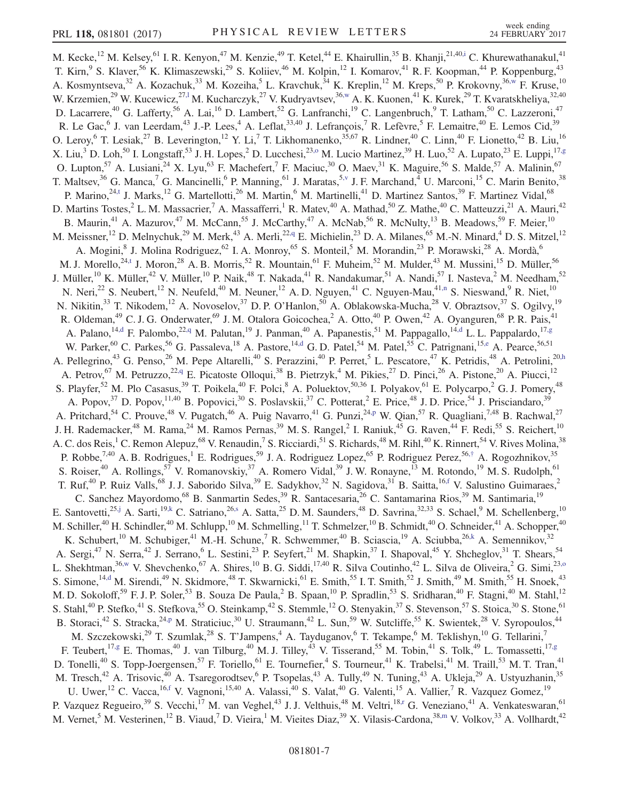<span id="page-6-6"></span><span id="page-6-5"></span><span id="page-6-4"></span><span id="page-6-3"></span><span id="page-6-2"></span><span id="page-6-1"></span><span id="page-6-0"></span>M. Kecke,<sup>12</sup> M. Kelsey,<sup>61</sup> I. R. Kenyon,<sup>47</sup> M. Kenzie,<sup>49</sup> T. Ketel,<sup>44</sup> E. Khairullin,<sup>35</sup> B. Khanji,<sup>21,4[0,i](#page-8-1)</sup> C. Khurewathanakul,<sup>41</sup> T. Kirn, <sup>9</sup> S. Klaver, <sup>56</sup> K. Klimaszewski, <sup>29</sup> S. Koliiev, <sup>46</sup> M. Kolpin, <sup>12</sup> I. Komarov, <sup>41</sup> R. F. Koopman, <sup>44</sup> P. Koppenburg, <sup>43</sup> A. Kosmyntseva,<sup>32</sup> A. Kozachuk,<sup>33</sup> M. Kozeiha,<sup>5</sup> L. Kravchuk,<sup>34</sup> K. Kreplin,<sup>12</sup> M. Kreps,<sup>50</sup> P. Krokovny,<sup>36[,w](#page-8-4)</sup> F. Kruse,<sup>10</sup> W. Krzemien,<sup>29</sup> W. Kucewicz,<sup>27,1</sup> M. Kucharczyk,<sup>27</sup> V. Kudryavtsev,<sup>36[,w](#page-8-4)</sup> A. K. Kuonen,<sup>41</sup> K. Kurek,<sup>29</sup> T. Kvaratskheliya,<sup>32,40</sup> D. Lacarrere,<sup>40</sup> G. Lafferty,<sup>56</sup> A. Lai,<sup>16</sup> D. Lambert,<sup>52</sup> G. Lanfranchi,<sup>19</sup> C. Langenbruch,<sup>9</sup> T. Latham,<sup>50</sup> C. Lazzeroni,<sup>47</sup> R. Le Gac, <sup>6</sup> J. van Leerdam, <sup>43</sup> J.-P. Lees, <sup>4</sup> A. Leflat,  $33,40$  J. Lefrançois, <sup>7</sup> R. Lefèvre, <sup>5</sup> F. Lemaitre,  $40$  E. Lemos Cid,  $39$ O. Leroy, <sup>6</sup> T. Lesiak,<sup>27</sup> B. Leverington,<sup>12</sup> Y. Li,<sup>7</sup> T. Likhomanenko,<sup>35,67</sup> R. Lindner,<sup>40</sup> C. Linn,<sup>40</sup> F. Lionetto,<sup>42</sup> B. Liu,<sup>16</sup> X. Liu,<sup>3</sup> D. Loh,<sup>50</sup> I. Longstaff,<sup>53</sup> J. H. Lopes,<sup>2</sup> D. Lucchesi,<sup>23[,o](#page-8-11)</sup> M. Lucio Martinez,<sup>39</sup> H. Luo,<sup>52</sup> A. Lupato,<sup>23</sup> E. Luppi,<sup>17[,g](#page-8-0)</sup> O. Lupton,<sup>57</sup> A. Lusiani,<sup>24</sup> X. Lyu,<sup>63</sup> F. Machefert,<sup>7</sup> F. Maciuc,<sup>30</sup> O. Maev,<sup>31</sup> K. Maguire,<sup>56</sup> S. Malde,<sup>57</sup> A. Malinin,<sup>67</sup> T. Maltsev,<sup>36</sup> G. Manca,<sup>7</sup> G. Mancinelli,<sup>6</sup> P. Manning,<sup>61</sup> J. Maratas,<sup>[5,v](#page-8-17)</sup> J. F. Marchand,<sup>4</sup> U. Marconi,<sup>15</sup> C. Marin Benito,<sup>38</sup> P. Marino,<sup>2[4,t](#page-8-9)</sup> J. Marks,<sup>12</sup> G. Martellotti,<sup>26</sup> M. Martin,<sup>6</sup> M. Martinelli,<sup>41</sup> D. Martinez Santos,<sup>39</sup> F. Martinez Vidal,<sup>68</sup> D. Martins Tostes,<sup>2</sup> L. M. Massacrier,<sup>7</sup> A. Massafferri,<sup>1</sup> R. Matev,<sup>40</sup> A. Mathad,<sup>50</sup> Z. Mathe,<sup>40</sup> C. Matteuzzi,<sup>21</sup> A. Mauri,<sup>42</sup> B. Maurin,<sup>41</sup> A. Mazurov,<sup>47</sup> M. McCann,<sup>55</sup> J. McCarthy,<sup>47</sup> A. McNab,<sup>56</sup> R. McNulty,<sup>13</sup> B. Meadows,<sup>59</sup> F. Meier,<sup>10</sup> M. Meissner,<sup>12</sup> D. Melnychuk,<sup>29</sup> M. Merk,<sup>43</sup> A. Merli,<sup>22[,q](#page-8-14)</sup> E. Michielin,<sup>23</sup> D. A. Milanes,<sup>65</sup> M.-N. Minard,<sup>4</sup> D. S. Mitzel,<sup>12</sup> A. Mogini,<sup>8</sup> J. Molina Rodriguez,<sup>62</sup> I. A. Monroy,<sup>65</sup> S. Monteil,<sup>5</sup> M. Morandin,<sup>23</sup> P. Morawski,<sup>28</sup> A. Mordà,<sup>6</sup> M. J. Morello,<sup>2[4,t](#page-8-9)</sup> J. Moron,<sup>28</sup> A. B. Morris,<sup>52</sup> R. Mountain,<sup>61</sup> F. Muheim,<sup>52</sup> M. Mulder,<sup>43</sup> M. Mussini,<sup>15</sup> D. Müller,<sup>56</sup> J. Müller,<sup>10</sup> K. Müller,<sup>42</sup> V. Müller,<sup>10</sup> P. Naik,<sup>48</sup> T. Nakada,<sup>41</sup> R. Nandakumar,<sup>51</sup> A. Nandi,<sup>57</sup> I. Nasteva,<sup>2</sup> M. Needham,<sup>52</sup> N. Neri,<sup>22</sup> S. Neubert,<sup>12</sup> N. Neufeld,<sup>40</sup> M. Neuner,<sup>12</sup> A. D. Nguyen,<sup>41</sup> C. Nguyen-Mau,<sup>41[,n](#page-8-18)</sup> S. Nieswand,<sup>9</sup> R. Niet,<sup>10</sup> N. Nikitin,<sup>33</sup> T. Nikodem,<sup>12</sup> A. Novoselov,<sup>37</sup> D. P. O'Hanlon,<sup>50</sup> A. Oblakowska-Mucha,<sup>28</sup> V. Obraztsov,<sup>37</sup> S. Ogilvy,<sup>19</sup> R. Oldeman,<sup>49</sup> C. J. G. Onderwater,<sup>69</sup> J. M. Otalora Goicochea,<sup>2</sup> A. Otto,<sup>40</sup> P. Owen,<sup>42</sup> A. Oyanguren,<sup>68</sup> P. R. Pais,<sup>41</sup> A. Palano,<sup>1[4,d](#page-8-12)</sup> F. Palombo,<sup>2[2,q](#page-8-14)</sup> M. Palutan,<sup>19</sup> J. Panman,<sup>40</sup> A. Papanestis,<sup>51</sup> M. Pappagallo,<sup>14,d</sup> L. L. Pappalardo,<sup>1[7,g](#page-8-0)</sup> W. Parker,<sup>60</sup> C. Parkes,<sup>56</sup> G. Passaleva,<sup>18</sup> A. Pastore,<sup>14[,d](#page-8-12)</sup> G.D. Patel,<sup>54</sup> M. Patel,<sup>55</sup> C. Patrignani,<sup>15[,e](#page-8-6)</sup> A. Pearce,<sup>56,51</sup> A. Pellegrino,<sup>43</sup> G. Penso,<sup>26</sup> M. Pepe Altarelli,<sup>40</sup> S. Perazzini,<sup>40</sup> P. Perret,<sup>5</sup> L. Pescatore,<sup>47</sup> K. Petridis,<sup>48</sup> A. Petrolini,<sup>2[0,h](#page-8-8)</sup> A. Petrov,<sup>67</sup> M. Petruzzo,<sup>22[,q](#page-8-14)</sup> E. Picatoste Olloqui,<sup>38</sup> B. Pietrzyk,<sup>4</sup> M. Pikies,<sup>27</sup> D. Pinci,<sup>26</sup> A. Pistone,<sup>20</sup> A. Piucci,<sup>12</sup> S. Playfer,<sup>52</sup> M. Plo Casasus,<sup>39</sup> T. Poikela,<sup>40</sup> F. Polci,<sup>8</sup> A. Poluektov,<sup>50,36</sup> I. Polyakov,<sup>61</sup> E. Polycarpo,<sup>2</sup> G. J. Pomery,<sup>48</sup> A. Popov,<sup>37</sup> D. Popov,<sup>11,40</sup> B. Popovici,<sup>30</sup> S. Poslavskii,<sup>37</sup> C. Potterat,<sup>2</sup> E. Price,<sup>48</sup> J. D. Price,<sup>54</sup> J. Prisciandaro,<sup>39</sup> A. Pritchard,<sup>54</sup> C. Prouve,<sup>48</sup> V. Pugatch,<sup>46</sup> A. Puig Navarro,<sup>41</sup> G. Punzi,<sup>24[,p](#page-8-19)</sup> W. Qian,<sup>57</sup> R. Quagliani,<sup>7,48</sup> B. Rachwal,<sup>27</sup> J. H. Rademacker,<sup>48</sup> M. Rama,<sup>24</sup> M. Ramos Pernas,<sup>39</sup> M. S. Rangel,<sup>2</sup> I. Raniuk,<sup>45</sup> G. Raven,<sup>44</sup> F. Redi,<sup>55</sup> S. Reichert,<sup>10</sup> A. C. dos Reis,<sup>1</sup> C. Remon Alepuz,<sup>68</sup> V. Renaudin,<sup>7</sup> S. Ricciardi,<sup>51</sup> S. Richards,<sup>48</sup> M. Rihl,<sup>40</sup> K. Rinnert,<sup>54</sup> V. Rives Molina,<sup>38</sup> P. Robbe,<sup>7,40</sup> A. B. Rodrigues,<sup>1</sup> E. Rodrigues,<sup>59</sup> J. A. Rodriguez Lopez,<sup>65</sup> P. Rodriguez Perez,<sup>56,[†](#page-8-3)</sup> A. Rogozhnikov,<sup>35</sup> S. Roiser,<sup>40</sup> A. Rollings,<sup>57</sup> V. Romanovskiy,<sup>37</sup> A. Romero Vidal,<sup>39</sup> J. W. Ronayne,<sup>13</sup> M. Rotondo,<sup>19</sup> M. S. Rudolph,<sup>61</sup> T. Ruf,<sup>40</sup> P. Ruiz Valls,<sup>68</sup> J. J. Saborido Silva,<sup>39</sup> E. Sadykhov,<sup>32</sup> N. Sagidova,<sup>31</sup> B. Saitta,<sup>16[,f](#page-8-10)</sup> V. Salustino Guimaraes,<sup>2</sup> C. Sanchez Mayordomo,<sup>68</sup> B. Sanmartin Sedes,<sup>39</sup> R. Santacesaria,<sup>26</sup> C. Santamarina Rios,<sup>39</sup> M. Santimaria,<sup>19</sup> E. Santovetti,<sup>25[,j](#page-8-7)</sup> A. Sarti,<sup>19[,k](#page-8-20)</sup> C. Satriano,<sup>2[6,s](#page-8-21)</sup> A. Satta,<sup>25</sup> D. M. Saunders,<sup>48</sup> D. Savrina,<sup>32,33</sup> S. Schael,<sup>9</sup> M. Schellenberg,<sup>10</sup> M. Schiller,<sup>40</sup> H. Schindler,<sup>40</sup> M. Schlupp,<sup>10</sup> M. Schmelling,<sup>11</sup> T. Schmelzer,<sup>10</sup> B. Schmidt,<sup>40</sup> O. Schneider,<sup>41</sup> A. Schopper,<sup>40</sup> K. Schubert,<sup>10</sup> M. Schubiger,<sup>41</sup> M.-H. Schune,<sup>7</sup> R. Schwemmer,<sup>40</sup> B. Sciascia,<sup>19</sup> A. Sciubba,<sup>2[6,k](#page-8-20)</sup> A. Semennikov,<sup>32</sup> A. Sergi,<sup>47</sup> N. Serra,<sup>42</sup> J. Serrano,<sup>6</sup> L. Sestini,<sup>23</sup> P. Seyfert,<sup>21</sup> M. Shapkin,<sup>37</sup> I. Shapoval,<sup>45</sup> Y. Shcheglov,<sup>31</sup> T. Shears,<sup>54</sup> L. Shekhtman,  $36$ [,w](#page-8-4) V. Shevchenko,  $67$  A. Shires,  $10$  B. G. Siddi,  $17,40$  R. Silva Coutinho,  $42$  L. Silva de Oliveira,  $2$  G. Simi,  $23,0$ S. Simone,<sup>14[,d](#page-8-12)</sup> M. Sirendi,<sup>49</sup> N. Skidmore,<sup>48</sup> T. Skwarnicki,<sup>61</sup> E. Smith,<sup>55</sup> I. T. Smith,<sup>52</sup> J. Smith,<sup>49</sup> M. Smith,<sup>55</sup> H. Snoek,<sup>43</sup> M. D. Sokoloff,<sup>59</sup> F. J. P. Soler,<sup>53</sup> B. Souza De Paula,<sup>2</sup> B. Spaan,<sup>10</sup> P. Spradlin,<sup>53</sup> S. Sridharan,<sup>40</sup> F. Stagni,<sup>40</sup> M. Stahl,<sup>12</sup> S. Stahl,<sup>40</sup> P. Stefko,<sup>41</sup> S. Stefkova,<sup>55</sup> O. Steinkamp,<sup>42</sup> S. Stemmle,<sup>12</sup> O. Stenyakin,<sup>37</sup> S. Stevenson,<sup>57</sup> S. Stoica,<sup>30</sup> S. Stone,<sup>61</sup> B. Storaci,<sup>42</sup> S. Stracka,<sup>24[,p](#page-8-19)</sup> M. Straticiuc,<sup>30</sup> U. Straumann,<sup>42</sup> L. Sun,<sup>59</sup> W. Sutcliffe,<sup>55</sup> K. Swientek,<sup>28</sup> V. Syropoulos,<sup>44</sup> M. Szczekowski,<sup>29</sup> T. Szumlak,<sup>28</sup> S. T'Jampens,<sup>4</sup> A. Tayduganov,<sup>6</sup> T. Tekampe,<sup>6</sup> M. Teklishyn,<sup>10</sup> G. Tellarini,<sup>7</sup> F. Teubert,<sup>1[7,g](#page-8-0)</sup> E. Thomas,<sup>40</sup> J. van Tilburg,<sup>40</sup> M. J. Tilley,<sup>43</sup> V. Tisserand,<sup>55</sup> M. Tobin,<sup>41</sup> S. Tolk,<sup>49</sup> L. Tomassetti,<sup>17,g</sup> D. Tonelli,<sup>40</sup> S. Topp-Joergensen,<sup>57</sup> F. Toriello,<sup>61</sup> E. Tournefier,<sup>4</sup> S. Tourneur,<sup>41</sup> K. Trabelsi,<sup>41</sup> M. Traill,<sup>53</sup> M. T. Tran,<sup>41</sup> M. Tresch,<sup>42</sup> A. Trisovic,<sup>40</sup> A. Tsaregorodtsev,<sup>6</sup> P. Tsopelas,<sup>43</sup> A. Tully,<sup>49</sup> N. Tuning,<sup>43</sup> A. Ukleja,<sup>29</sup> A. Ustyuzhanin,<sup>35</sup> U. Uwer,<sup>12</sup> C. Vacca,<sup>16[,f](#page-8-10)</sup> V. Vagnoni,<sup>15,40</sup> A. Valassi,<sup>40</sup> S. Valat,<sup>40</sup> G. Valenti,<sup>15</sup> A. Vallier,<sup>7</sup> R. Vazquez Gomez,<sup>19</sup> P. Vazquez Regueiro,<sup>39</sup> S. Vecchi,<sup>17</sup> M. van Veghel,<sup>43</sup> J. J. Velthuis,<sup>48</sup> M. Veltri,<sup>1[8,r](#page-8-22)</sup> G. Veneziano,<sup>41</sup> A. Venkateswaran,<sup>61</sup> M. Vernet,<sup>5</sup> M. Vesterinen,<sup>12</sup> B. Viaud,<sup>7</sup> D. Vieira,<sup>1</sup> M. Vieites Diaz,<sup>39</sup> X. Vilasis-Cardona,<sup>3[8,m](#page-8-5)</sup> V. Volkov,<sup>33</sup> A. Vollhardt,<sup>42</sup>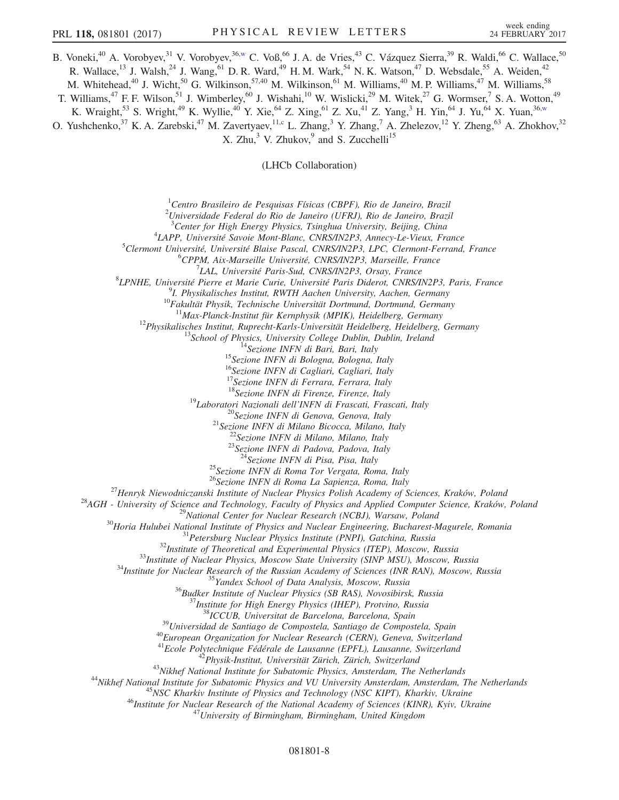B. Voneki,<sup>40</sup> A. Vorobyev,<sup>31</sup> V. Vorobyev,<sup>3[6,w](#page-8-4)</sup> C. Voß,<sup>66</sup> J. A. de Vries,<sup>43</sup> C. Vázquez Sierra,<sup>39</sup> R. Waldi,<sup>66</sup> C. Wallace,<sup>50</sup> R. Wallace,<sup>13</sup> J. Walsh,<sup>24</sup> J. Wang,<sup>61</sup> D. R. Ward,<sup>49</sup> H. M. Wark,<sup>54</sup> N. K. Watson,<sup>47</sup> D. Websdale,<sup>55</sup> A. Weiden,<sup>42</sup> M. Whitehead,<sup>40</sup> J. Wicht,<sup>50</sup> G. Wilkinson,<sup>57,40</sup> M. Wilkinson,<sup>61</sup> M. Williams,<sup>40</sup> M. P. Williams,<sup>47</sup> M. Williams,<sup>58</sup> T. Williams,<sup>47</sup> F. F. Wilson,<sup>51</sup> J. Wimberley,<sup>60</sup> J. Wishahi,<sup>10</sup> W. Wislicki,<sup>29</sup> M. Witek,<sup>27</sup> G. Wormser,<sup>7</sup> S. A. Wotton,<sup>49</sup> K. Wraight,<sup>53</sup> S. Wright,<sup>49</sup> K. Wyllie,<sup>40</sup> Y. Xie,<sup>64</sup> Z. Xing,<sup>61</sup> Z. Xu,<sup>41</sup> Z. Yang,<sup>3</sup> H. Yin,<sup>64</sup> J. Yu,<sup>64</sup> X. Yuan,<sup>36[,w](#page-8-4)</sup>

<span id="page-7-0"></span>O. Yushchenko,<sup>37</sup> K. A. Zarebski,<sup>47</sup> M. Zavertyaev,<sup>1[1,c](#page-8-23)</sup> L. Zhang,<sup>3</sup> Y. Zhang,<sup>7</sup> A. Zhelezov,<sup>12</sup> Y. Zheng,<sup>63</sup> A. Zhokhov,<sup>32</sup> X. Zhu, $3$  V. Zhukov,  $9$  and S. Zucchelli<sup>15</sup>

(LHCb Collaboration)

 ${}^{1}$ Centro Brasileiro de Pesquisas Físicas (CBPF), Rio de Janeiro, Brazil

 $^{2}$ Universidade Federal do Rio de Janeiro (UFRJ), Rio de Janeiro, Brazil

<sup>3</sup> Center for High Energy Physics, Tsinghua University, Beijing, China  $^{4}I$  ABB Université Squois Mont Blane, CNBS/IN2B3, Anneav La Views, Ex-

<sup>4</sup>LAPP, Université Savoie Mont-Blanc, CNRS/IN2P3, Annecy-Le-Vieux, France

 $^5$ Clermont Université, Université Blaise Pascal, CNRS/IN2P3, LPC, Clermont-Ferrand, France

 ${}^6$ CPPM, Aix-Marseille Université, CNRS/IN2P3, Marseille, France <sup>7</sup>LAL, Université Paris-Sud, CNRS/IN2P3, Orsay, France

<sup>1</sup> *LAL, Université Paris-Sud, CNRS/IN2P3, Orsay, France*<br><sup>8</sup>*I PNHE Hniversité Pierre et Marie Curie Hniversité Paris Dideret CNPS/I* 

LPNHE, Université Pierre et Marie Curie, Université Paris Diderot, CNRS/IN2P3, Paris, France<br><sup>91</sup> Physikalisakes Institut, PWTH Aseken University Aseken Carmany

<sup>9</sup>I. Physikalisches Institut, RWTH Aachen University, Aachen, Germany 10Fakultät Physik, Technische Universität Dortmund, Dortmund, Germany

<sup>11</sup>Max-Planck-Institut für Kernphysik (MPIK), Heidelberg, Germany<br><sup>12</sup>Physikalisches Institut, Ruprecht-Karls-Universität Heidelberg, Heidelberg, Germany<br><sup>13</sup>School of Physics, University College Dublin, Dublin, Ireland<br>

<sup>16</sup>Sezione INFN di Cagliari, Cagliari, Italy

 $^{17}$ Sezione INFN di Ferrara, Ferrara, Italy  $^{18}$ Sezione INFN di Firenze, Firenze, Italy

<sup>19</sup>Laboratori Nazionali dell'INFN di Frascati, Frascati, Italy<br><sup>20</sup>Sezione INFN di Genova, Genova, Italy<br><sup>21</sup>Sezione INFN di Milano Bicocca, Milano, Italy<br><sup>22</sup>Sezione INFN di Milano, Milano, Italy<br><sup>23</sup>Sezione INFN di Pad

<sup>25</sup> Sezione INFN di Roma Tor Vergata, Roma, Italy  $^{26}$ Sezione INFN di Roma La Sapienza, Roma, Italy

 $\begin{tabular}{c} \begin{tabular}{c} $\text{${}^{26}$} \textbf{Sezione INFN} $\text{${\rm{ii}}$~Roma La Sapienza, Roma, Italy}\end{tabular} \end{tabular} \end{tabular} \begin{tabular}{c} \begin{tabular}{c} $\text{${}^{26}$} \textbf{Sezione} $\text{N}\text{FNN}$ $d$iRoma La Sapienza, Roma, Italy}\end{tabular} \end{tabular} \end{tabular} \end{tabular} \begin{tabular}{c} \begin{tabular}{c} $\text{${}^{28}$} \textbf{AdH}- University of Science and Technology, Facuty of Phiysics and Applied Computing \end{tabular} \end{tabular} \end{$ 

<sup>40</sup>European Organization for Nuclear Research (CERN), Geneva, Switzerland<br><sup>41</sup>Ecole Polytechnique Fédérale de Lausanne (EPFL), Lausanne, Switzerland<br><sup>42</sup>Physik-Institut, Universität Zürich, Zürich, Switzerland<br><sup>43</sup>Nikhef